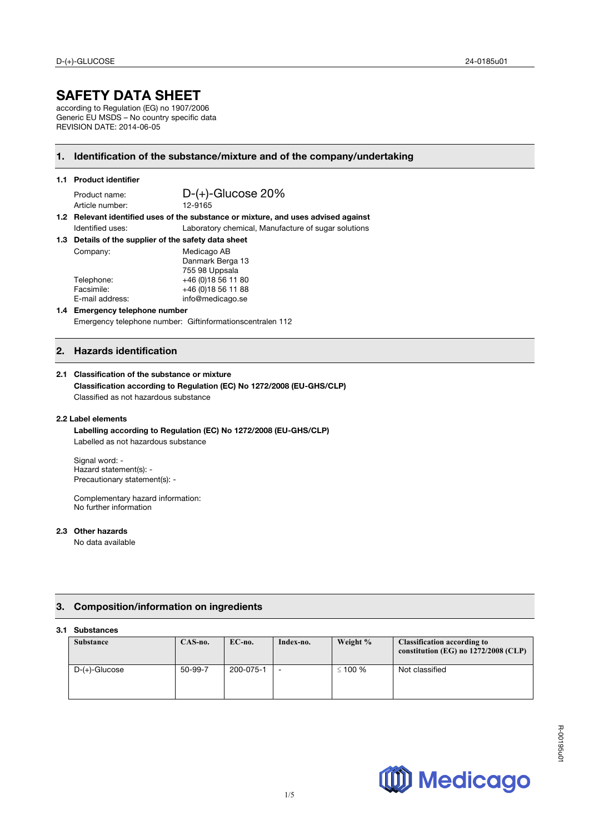# **SAFETY DATA SHEET**

according to Regulation (EG) no 1907/2006 Generic EU MSDS – No country specific data REVISION DATE: 2014-06-05

## **1. Identification of the substance/mixture and of the company/undertaking**

### **1.1 Product identifier**

Article number:

Product name: <br>Article number: 12-9165<br>12-9165

**1.2 Relevant identified uses of the substance or mixture, and uses advised against**  Identified uses: Laboratory chemical, Manufacture of sugar solutions

**1.3 Details of the supplier of the safety data sheet**

| Company:        | Medicago AB         |  |
|-----------------|---------------------|--|
|                 | Danmark Berga 13    |  |
|                 | 755 98 Uppsala      |  |
| Telephone:      | +46 (0) 18 56 11 80 |  |
| Facsimile:      | +46 (0) 18 56 11 88 |  |
| E-mail address: | info@medicago.se    |  |
|                 |                     |  |

**1.4 Emergency telephone number**  Emergency telephone number: Giftinformationscentralen 112

## **2. Hazards identification**

#### **2.1 Classification of the substance or mixture**

**Classification according to Regulation (EC) No 1272/2008 (EU-GHS/CLP)** Classified as not hazardous substance

#### **2.2 Label elements**

**Labelling according to Regulation (EC) No 1272/2008 (EU-GHS/CLP)** Labelled as not hazardous substance

Signal word: - Hazard statement(s): - Precautionary statement(s): -

Complementary hazard information: No further information

#### **2.3 Other hazards**

No data available

## **3. Composition/information on ingredients**

## **3.1 Substances**

| <b>Substance</b> | $CAS-no.$ | $EC$ -no. | Index-no.                | Weight %  | <b>Classification according to</b><br>constitution (EG) no $1272/2008$ (CLP) |
|------------------|-----------|-----------|--------------------------|-----------|------------------------------------------------------------------------------|
| D-(+)-Glucose    | 50-99-7   | 200-075-1 | $\overline{\phantom{0}}$ | $≤ 100 %$ | Not classified                                                               |

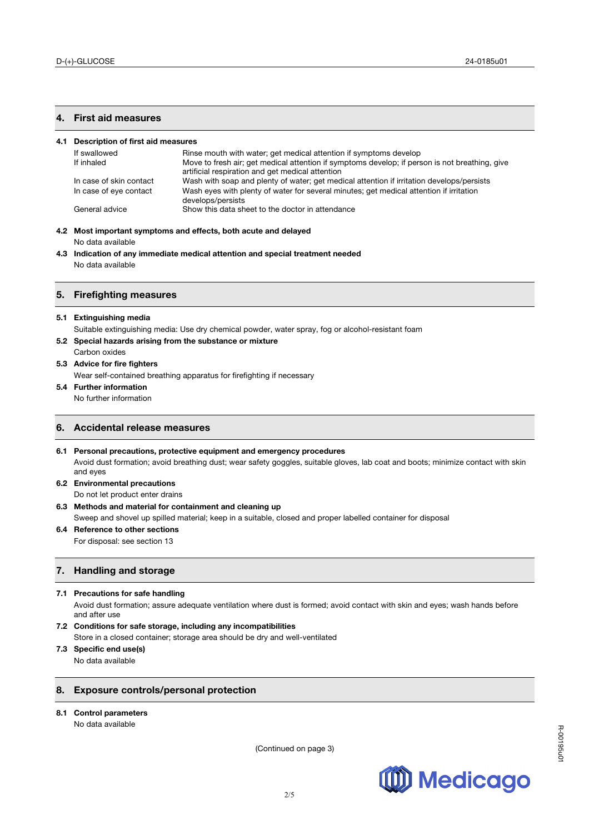## **4. First aid measures**

| Description of first aid measures<br>4.1 |                         |                                                                                                                                                    |  |
|------------------------------------------|-------------------------|----------------------------------------------------------------------------------------------------------------------------------------------------|--|
|                                          | If swallowed            | Rinse mouth with water; get medical attention if symptoms develop                                                                                  |  |
|                                          | If inhaled              | Move to fresh air; get medical attention if symptoms develop; if person is not breathing, give<br>artificial respiration and get medical attention |  |
|                                          | In case of skin contact | Wash with soap and plenty of water; get medical attention if irritation develops/persists                                                          |  |
|                                          | In case of eye contact  | Wash eyes with plenty of water for several minutes; get medical attention if irritation<br>develops/persists                                       |  |
|                                          | General advice          | Show this data sheet to the doctor in attendance                                                                                                   |  |

- **4.2 Most important symptoms and effects, both acute and delayed**  No data available
- **4.3 Indication of any immediate medical attention and special treatment needed** No data available

#### **5. Firefighting measures**

#### **5.1 Extinguishing media**

Suitable extinguishing media: Use dry chemical powder, water spray, fog or alcohol-resistant foam

- **5.2 Special hazards arising from the substance or mixture**
- Carbon oxides
- **5.3 Advice for fire fighters**

Wear self-contained breathing apparatus for firefighting if necessary

**5.4 Further information**

No further information

## **6. Accidental release measures**

**6.1 Personal precautions, protective equipment and emergency procedures** Avoid dust formation; avoid breathing dust; wear safety goggles, suitable gloves, lab coat and boots; minimize contact with skin and eyes

- **6.2 Environmental precautions**  Do not let product enter drains
- **6.3 Methods and material for containment and cleaning up**  Sweep and shovel up spilled material; keep in a suitable, closed and proper labelled container for disposal
- **6.4 Reference to other sections**

For disposal: see section 13

## **7. Handling and storage**

#### **7.1 Precautions for safe handling**

Avoid dust formation; assure adequate ventilation where dust is formed; avoid contact with skin and eyes; wash hands before and after use

- **7.2 Conditions for safe storage, including any incompatibilities**
- Store in a closed container; storage area should be dry and well-ventilated

# **7.3 Specific end use(s)**

No data available

## **8. Exposure controls/personal protection**

**8.1 Control parameters** 

No data available

(Continued on page 3)

2/5

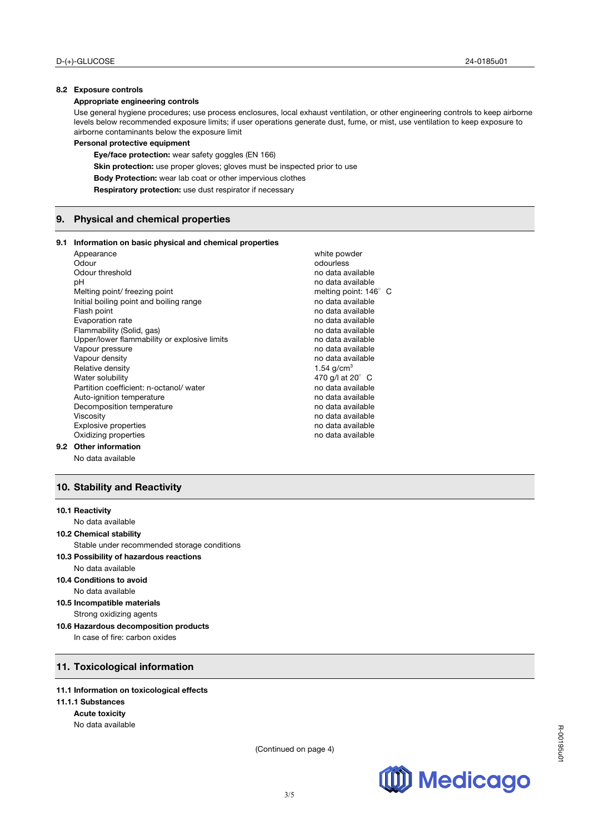## **8.2 Exposure controls**

#### **Appropriate engineering controls**

Use general hygiene procedures; use process enclosures, local exhaust ventilation, or other engineering controls to keep airborne levels below recommended exposure limits; if user operations generate dust, fume, or mist, use ventilation to keep exposure to airborne contaminants below the exposure limit

#### **Personal protective equipment**

**Eye/face protection:** wear safety goggles (EN 166)

**Skin protection:** use proper gloves; gloves must be inspected prior to use

**Body Protection:** wear lab coat or other impervious clothes

**Respiratory protection:** use dust respirator if necessary

## **9. Physical and chemical properties**

### **9.1 Information on basic physical and chemical properties**

|     | Appearance                                   | white powder                 |  |
|-----|----------------------------------------------|------------------------------|--|
|     | Odour                                        | odourless                    |  |
|     | Odour threshold                              | no data available            |  |
|     | рH                                           | no data available            |  |
|     | Melting point/ freezing point                | melting point: $146^\circ$ C |  |
|     | Initial boiling point and boiling range      | no data available            |  |
|     | Flash point                                  | no data available            |  |
|     | Evaporation rate                             | no data available            |  |
|     | Flammability (Solid, gas)                    | no data available            |  |
|     | Upper/lower flammability or explosive limits | no data available            |  |
|     | Vapour pressure                              | no data available            |  |
|     | Vapour density                               | no data available            |  |
|     | Relative density                             | 1.54 $q/cm^{3}$              |  |
|     | Water solubility                             | 470 g/l at 20° C             |  |
|     | Partition coefficient: n-octanol/water       | no data available            |  |
|     | Auto-ignition temperature                    | no data available            |  |
|     | Decomposition temperature                    | no data available            |  |
|     | <b>Viscosity</b>                             | no data available            |  |
|     | <b>Explosive properties</b>                  | no data available            |  |
|     | Oxidizing properties                         | no data available            |  |
| 9.2 | <b>Other information</b>                     |                              |  |
|     |                                              |                              |  |

No data available

## **10. Stability and Reactivity**

### **10.1 Reactivity**

No data available

## **10.2 Chemical stability**

Stable under recommended storage conditions

- **10.3 Possibility of hazardous reactions**  No data available
- **10.4 Conditions to avoid**  No data available
- **10.5 Incompatible materials**  Strong oxidizing agents
- **10.6 Hazardous decomposition products**

In case of fire: carbon oxides

## **11. Toxicological information**

## **11.1 Information on toxicological effects**

## **11.1.1 Substances**

**Acute toxicity**

No data available

(Continued on page 4)

R-00195u01

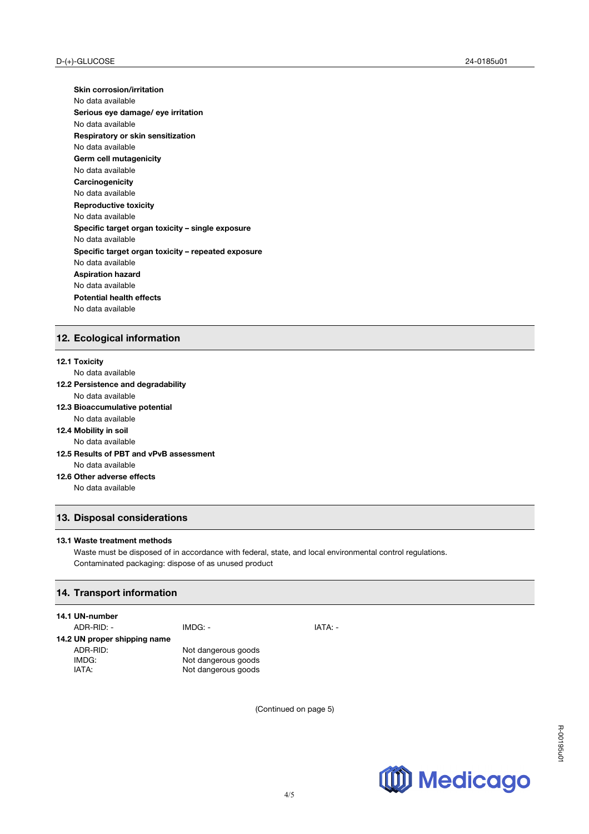**Skin corrosion/irritation** No data available **Serious eye damage/ eye irritation** No data available **Respiratory or skin sensitization** No data available **Germ cell mutagenicity** No data available **Carcinogenicity** No data available **Reproductive toxicity** No data available **Specific target organ toxicity – single exposure** No data available **Specific target organ toxicity – repeated exposure** No data available **Aspiration hazard** No data available **Potential health effects**  No data available

# **12. Ecological information**

#### **12.1 Toxicity**

No data available

- **12.2 Persistence and degradability** No data available
- **12.3 Bioaccumulative potential**
	- No data available
- **12.4 Mobility in soil**
- No data available
- **12.5 Results of PBT and vPvB assessment** No data available
- **12.6 Other adverse effects** No data available

# **13. Disposal considerations**

#### **13.1 Waste treatment methods**

Waste must be disposed of in accordance with federal, state, and local environmental control regulations. Contaminated packaging: dispose of as unused product

## **14. Transport information**

#### **14.1 UN-number**

| ADR-RID: -                   | IMDG: -             | IATA: - |
|------------------------------|---------------------|---------|
| 14.2 UN proper shipping name |                     |         |
| ADR-RID:                     | Not dangerous goods |         |
| IMDG:                        | Not dangerous goods |         |
| IATA:                        | Not dangerous goods |         |
|                              |                     |         |

(Continued on page 5)